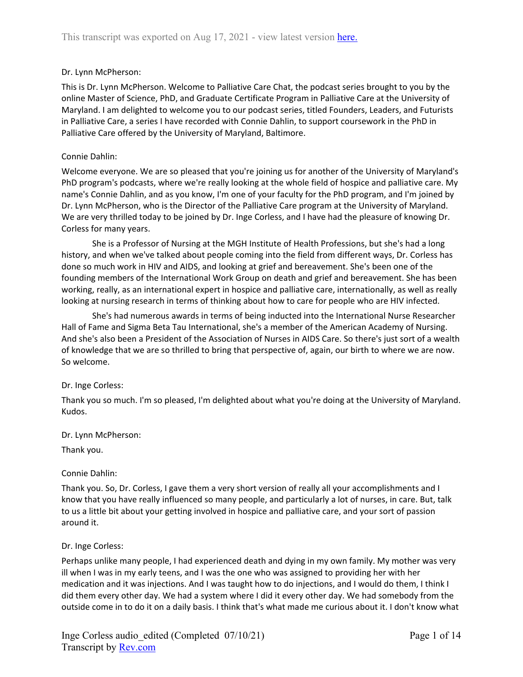### Dr. Lynn McPherson:

This is Dr. Lynn McPherson. Welcome to Palliative Care Chat, the podcast series brought to you by the online Master of Science, PhD, and Graduate Certificate Program in Palliative Care at the University of Maryland. I am delighted to welcome you to our podcast series, titled Founders, Leaders, and Futurists in Palliative Care, a series I have recorded with Connie Dahlin, to support coursework in the PhD in Palliative Care offered by the University of Maryland, Baltimore.

### Connie Dahlin:

Welcome everyone. We are so pleased that you're joining us for another of the University of Maryland's PhD program's podcasts, where we're really looking at the whole field of hospice and palliative care. My name's Connie Dahlin, and as you know, I'm one of your faculty for the PhD program, and I'm joined by Dr. Lynn McPherson, who is the Director of the Palliative Care program at the University of Maryland. We are very thrilled today to be joined by Dr. Inge Corless, and I have had the pleasure of knowing Dr. Corless for many years.

She is a Professor of Nursing at the MGH Institute of Health Professions, but she's had a long history, and when we've talked about people coming into the field from different ways, Dr. Corless has done so much work in HIV and AIDS, and looking at grief and bereavement. She's been one of the founding members of the International Work Group on death and grief and bereavement. She has been working, really, as an international expert in hospice and palliative care, internationally, as well as really looking at nursing research in terms of thinking about how to care for people who are HIV infected.

She's had numerous awards in terms of being inducted into the International Nurse Researcher Hall of Fame and Sigma Beta Tau International, she's a member of the American Academy of Nursing. And she's also been a President of the Association of Nurses in AIDS Care. So there's just sort of a wealth of knowledge that we are so thrilled to bring that perspective of, again, our birth to where we are now. So welcome.

# Dr. Inge Corless:

Thank you so much. I'm so pleased, I'm delighted about what you're doing at the University of Maryland. Kudos.

### Dr. Lynn McPherson:

Thank you.

### Connie Dahlin:

Thank you. So, Dr. Corless, I gave them a very short version of really all your accomplishments and I know that you have really influenced so many people, and particularly a lot of nurses, in care. But, talk to us a little bit about your getting involved in hospice and palliative care, and your sort of passion around it.

### Dr. Inge Corless:

Perhaps unlike many people, I had experienced death and dying in my own family. My mother was very ill when I was in my early teens, and I was the one who was assigned to providing her with her medication and it was injections. And I was taught how to do injections, and I would do them, I think I did them every other day. We had a system where I did it every other day. We had somebody from the outside come in to do it on a daily basis. I think that's what made me curious about it. I don't know what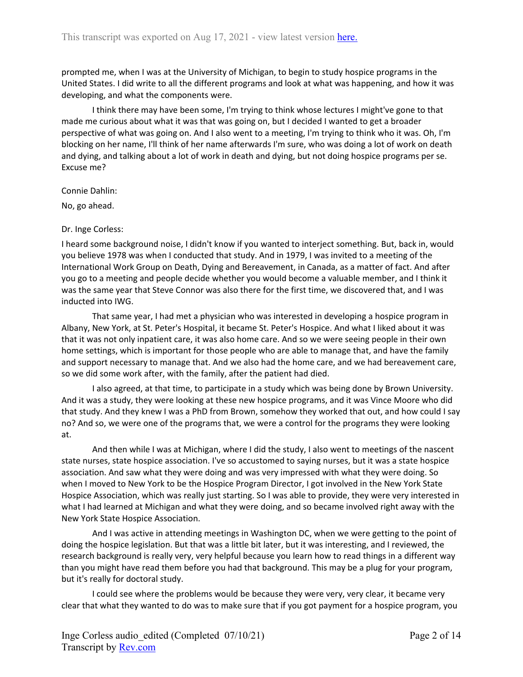prompted me, when I was at the University of Michigan, to begin to study hospice programs in the United States. I did write to all the different programs and look at what was happening, and how it was developing, and what the components were.

I think there may have been some, I'm trying to think whose lectures I might've gone to that made me curious about what it was that was going on, but I decided I wanted to get a broader perspective of what was going on. And I also went to a meeting, I'm trying to think who it was. Oh, I'm blocking on her name, I'll think of her name afterwards I'm sure, who was doing a lot of work on death and dying, and talking about a lot of work in death and dying, but not doing hospice programs per se. Excuse me?

Connie Dahlin:

No, go ahead.

### Dr. Inge Corless:

I heard some background noise, I didn't know if you wanted to interject something. But, back in, would you believe 1978 was when I conducted that study. And in 1979, I was invited to a meeting of the International Work Group on Death, Dying and Bereavement, in Canada, as a matter of fact. And after you go to a meeting and people decide whether you would become a valuable member, and I think it was the same year that Steve Connor was also there for the first time, we discovered that, and I was inducted into IWG.

That same year, I had met a physician who was interested in developing a hospice program in Albany, New York, at St. Peter's Hospital, it became St. Peter's Hospice. And what I liked about it was that it was not only inpatient care, it was also home care. And so we were seeing people in their own home settings, which is important for those people who are able to manage that, and have the family and support necessary to manage that. And we also had the home care, and we had bereavement care, so we did some work after, with the family, after the patient had died.

I also agreed, at that time, to participate in a study which was being done by Brown University. And it was a study, they were looking at these new hospice programs, and it was Vince Moore who did that study. And they knew I was a PhD from Brown, somehow they worked that out, and how could I say no? And so, we were one of the programs that, we were a control for the programs they were looking at.

And then while I was at Michigan, where I did the study, I also went to meetings of the nascent state nurses, state hospice association. I've so accustomed to saying nurses, but it was a state hospice association. And saw what they were doing and was very impressed with what they were doing. So when I moved to New York to be the Hospice Program Director, I got involved in the New York State Hospice Association, which was really just starting. So I was able to provide, they were very interested in what I had learned at Michigan and what they were doing, and so became involved right away with the New York State Hospice Association.

And I was active in attending meetings in Washington DC, when we were getting to the point of doing the hospice legislation. But that was a little bit later, but it was interesting, and I reviewed, the research background is really very, very helpful because you learn how to read things in a different way than you might have read them before you had that background. This may be a plug for your program, but it's really for doctoral study.

I could see where the problems would be because they were very, very clear, it became very clear that what they wanted to do was to make sure that if you got payment for a hospice program, you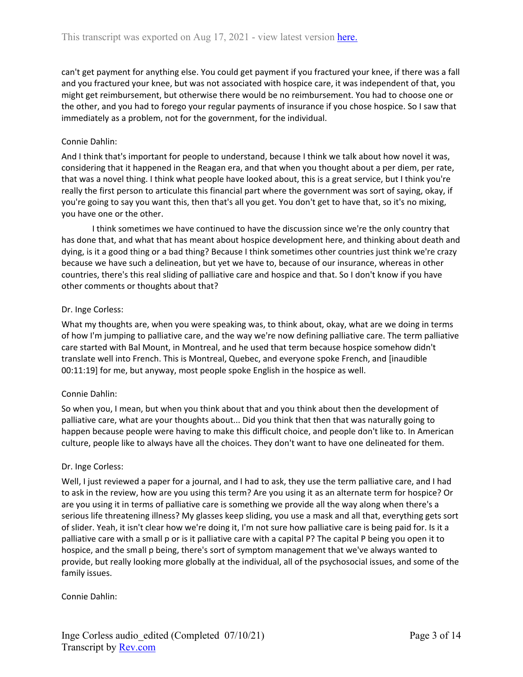can't get payment for anything else. You could get payment if you fractured your knee, if there was a fall and you fractured your knee, but was not associated with hospice care, it was independent of that, you might get reimbursement, but otherwise there would be no reimbursement. You had to choose one or the other, and you had to forego your regular payments of insurance if you chose hospice. So I saw that immediately as a problem, not for the government, for the individual.

## Connie Dahlin:

And I think that's important for people to understand, because I think we talk about how novel it was, considering that it happened in the Reagan era, and that when you thought about a per diem, per rate, that was a novel thing. I think what people have looked about, this is a great service, but I think you're really the first person to articulate this financial part where the government was sort of saying, okay, if you're going to say you want this, then that's all you get. You don't get to have that, so it's no mixing, you have one or the other.

I think sometimes we have continued to have the discussion since we're the only country that has done that, and what that has meant about hospice development here, and thinking about death and dying, is it a good thing or a bad thing? Because I think sometimes other countries just think we're crazy because we have such a delineation, but yet we have to, because of our insurance, whereas in other countries, there's this real sliding of palliative care and hospice and that. So I don't know if you have other comments or thoughts about that?

## Dr. Inge Corless:

What my thoughts are, when you were speaking was, to think about, okay, what are we doing in terms of how I'm jumping to palliative care, and the way we're now defining palliative care. The term palliative care started with Bal Mount, in Montreal, and he used that term because hospice somehow didn't translate well into French. This is Montreal, Quebec, and everyone spoke French, and [inaudible 00:11:19] for me, but anyway, most people spoke English in the hospice as well.

### Connie Dahlin:

So when you, I mean, but when you think about that and you think about then the development of palliative care, what are your thoughts about... Did you think that then that was naturally going to happen because people were having to make this difficult choice, and people don't like to. In American culture, people like to always have all the choices. They don't want to have one delineated for them.

### Dr. Inge Corless:

Well, I just reviewed a paper for a journal, and I had to ask, they use the term palliative care, and I had to ask in the review, how are you using this term? Are you using it as an alternate term for hospice? Or are you using it in terms of palliative care is something we provide all the way along when there's a serious life threatening illness? My glasses keep sliding, you use a mask and all that, everything gets sort of slider. Yeah, it isn't clear how we're doing it, I'm not sure how palliative care is being paid for. Is it a palliative care with a small p or is it palliative care with a capital P? The capital P being you open it to hospice, and the small p being, there's sort of symptom management that we've always wanted to provide, but really looking more globally at the individual, all of the psychosocial issues, and some of the family issues.

### Connie Dahlin: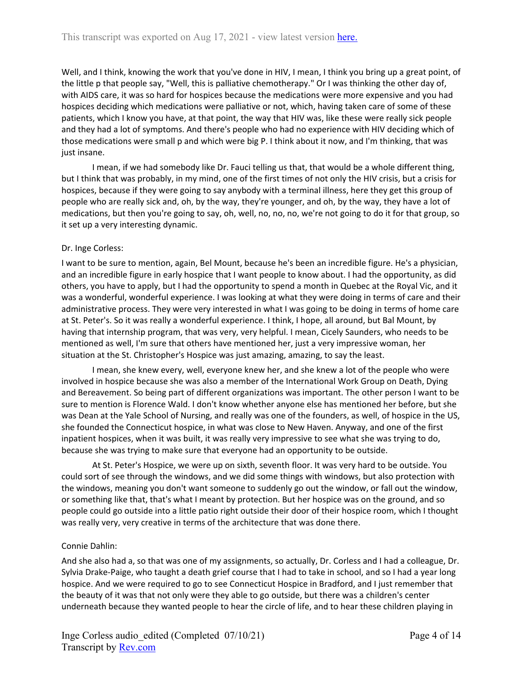Well, and I think, knowing the work that you've done in HIV, I mean, I think you bring up a great point, of the little p that people say, "Well, this is palliative chemotherapy." Or I was thinking the other day of, with AIDS care, it was so hard for hospices because the medications were more expensive and you had hospices deciding which medications were palliative or not, which, having taken care of some of these patients, which I know you have, at that point, the way that HIV was, like these were really sick people and they had a lot of symptoms. And there's people who had no experience with HIV deciding which of those medications were small p and which were big P. I think about it now, and I'm thinking, that was just insane.

I mean, if we had somebody like Dr. Fauci telling us that, that would be a whole different thing, but I think that was probably, in my mind, one of the first times of not only the HIV crisis, but a crisis for hospices, because if they were going to say anybody with a terminal illness, here they get this group of people who are really sick and, oh, by the way, they're younger, and oh, by the way, they have a lot of medications, but then you're going to say, oh, well, no, no, no, we're not going to do it for that group, so it set up a very interesting dynamic.

### Dr. Inge Corless:

I want to be sure to mention, again, Bel Mount, because he's been an incredible figure. He's a physician, and an incredible figure in early hospice that I want people to know about. I had the opportunity, as did others, you have to apply, but I had the opportunity to spend a month in Quebec at the Royal Vic, and it was a wonderful, wonderful experience. I was looking at what they were doing in terms of care and their administrative process. They were very interested in what I was going to be doing in terms of home care at St. Peter's. So it was really a wonderful experience. I think, I hope, all around, but Bal Mount, by having that internship program, that was very, very helpful. I mean, Cicely Saunders, who needs to be mentioned as well, I'm sure that others have mentioned her, just a very impressive woman, her situation at the St. Christopher's Hospice was just amazing, amazing, to say the least.

I mean, she knew every, well, everyone knew her, and she knew a lot of the people who were involved in hospice because she was also a member of the International Work Group on Death, Dying and Bereavement. So being part of different organizations was important. The other person I want to be sure to mention is Florence Wald. I don't know whether anyone else has mentioned her before, but she was Dean at the Yale School of Nursing, and really was one of the founders, as well, of hospice in the US, she founded the Connecticut hospice, in what was close to New Haven. Anyway, and one of the first inpatient hospices, when it was built, it was really very impressive to see what she was trying to do, because she was trying to make sure that everyone had an opportunity to be outside.

At St. Peter's Hospice, we were up on sixth, seventh floor. It was very hard to be outside. You could sort of see through the windows, and we did some things with windows, but also protection with the windows, meaning you don't want someone to suddenly go out the window, or fall out the window, or something like that, that's what I meant by protection. But her hospice was on the ground, and so people could go outside into a little patio right outside their door of their hospice room, which I thought was really very, very creative in terms of the architecture that was done there.

### Connie Dahlin:

And she also had a, so that was one of my assignments, so actually, Dr. Corless and I had a colleague, Dr. Sylvia Drake-Paige, who taught a death grief course that I had to take in school, and so I had a year long hospice. And we were required to go to see Connecticut Hospice in Bradford, and I just remember that the beauty of it was that not only were they able to go outside, but there was a children's center underneath because they wanted people to hear the circle of life, and to hear these children playing in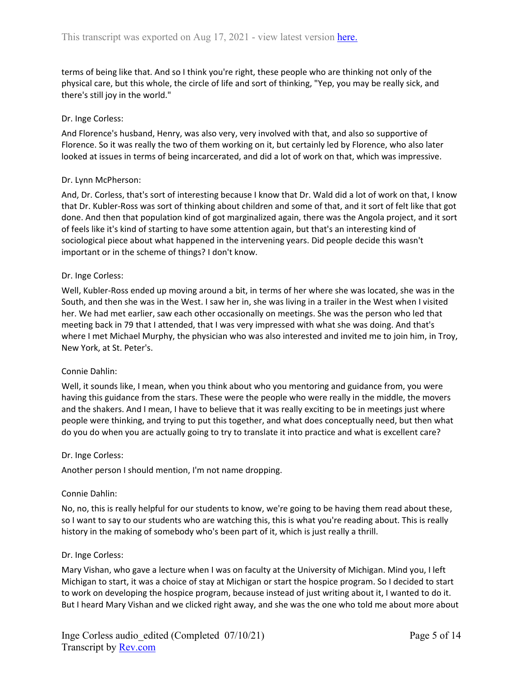terms of being like that. And so I think you're right, these people who are thinking not only of the physical care, but this whole, the circle of life and sort of thinking, "Yep, you may be really sick, and there's still joy in the world."

## Dr. Inge Corless:

And Florence's husband, Henry, was also very, very involved with that, and also so supportive of Florence. So it was really the two of them working on it, but certainly led by Florence, who also later looked at issues in terms of being incarcerated, and did a lot of work on that, which was impressive.

## Dr. Lynn McPherson:

And, Dr. Corless, that's sort of interesting because I know that Dr. Wald did a lot of work on that, I know that Dr. Kubler-Ross was sort of thinking about children and some of that, and it sort of felt like that got done. And then that population kind of got marginalized again, there was the Angola project, and it sort of feels like it's kind of starting to have some attention again, but that's an interesting kind of sociological piece about what happened in the intervening years. Did people decide this wasn't important or in the scheme of things? I don't know.

### Dr. Inge Corless:

Well, Kubler-Ross ended up moving around a bit, in terms of her where she was located, she was in the South, and then she was in the West. I saw her in, she was living in a trailer in the West when I visited her. We had met earlier, saw each other occasionally on meetings. She was the person who led that meeting back in 79 that I attended, that I was very impressed with what she was doing. And that's where I met Michael Murphy, the physician who was also interested and invited me to join him, in Troy, New York, at St. Peter's.

### Connie Dahlin:

Well, it sounds like, I mean, when you think about who you mentoring and guidance from, you were having this guidance from the stars. These were the people who were really in the middle, the movers and the shakers. And I mean, I have to believe that it was really exciting to be in meetings just where people were thinking, and trying to put this together, and what does conceptually need, but then what do you do when you are actually going to try to translate it into practice and what is excellent care?

### Dr. Inge Corless:

Another person I should mention, I'm not name dropping.

### Connie Dahlin:

No, no, this is really helpful for our students to know, we're going to be having them read about these, so I want to say to our students who are watching this, this is what you're reading about. This is really history in the making of somebody who's been part of it, which is just really a thrill.

### Dr. Inge Corless:

Mary Vishan, who gave a lecture when I was on faculty at the University of Michigan. Mind you, I left Michigan to start, it was a choice of stay at Michigan or start the hospice program. So I decided to start to work on developing the hospice program, because instead of just writing about it, I wanted to do it. But I heard Mary Vishan and we clicked right away, and she was the one who told me about more about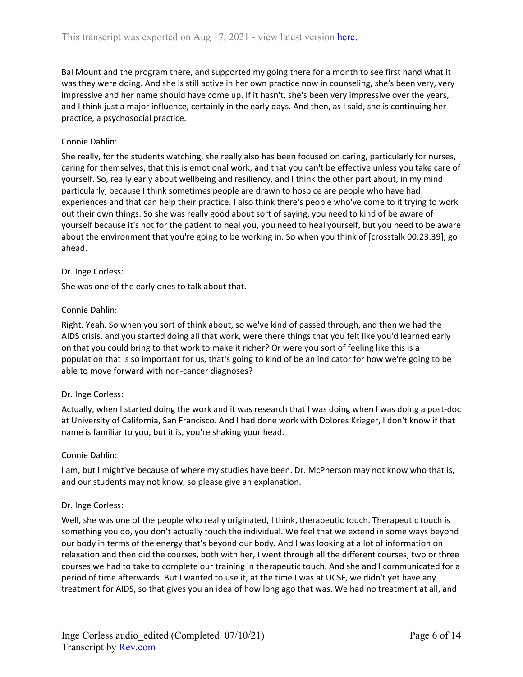Bal Mount and the program there, and supported my going there for a month to see first hand what it was they were doing. And she is still active in her own practice now in counseling, she's been very, very impressive and her name should have come up. If it hasn't, she's been very impressive over the years, and I think just a major influence, certainly in the early days. And then, as I said, she is continuing her practice, a psychosocial practice.

# Connie Dahlin:

She really, for the students watching, she really also has been focused on caring, particularly for nurses, caring for themselves, that this is emotional work, and that you can't be effective unless you take care of yourself. So, really early about wellbeing and resiliency, and I think the other part about, in my mind particularly, because I think sometimes people are drawn to hospice are people who have had experiences and that can help their practice. I also think there's people who've come to it trying to work out their own things. So she was really good about sort of saying, you need to kind of be aware of yourself because it's not for the patient to heal you, you need to heal yourself, but you need to be aware about the environment that you're going to be working in. So when you think of [crosstalk 00:23:39], go ahead.

## Dr. Inge Corless:

She was one of the early ones to talk about that.

## Connie Dahlin:

Right. Yeah. So when you sort of think about, so we've kind of passed through, and then we had the AIDS crisis, and you started doing all that work, were there things that you felt like you'd learned early on that you could bring to that work to make it richer? Or were you sort of feeling like this is a population that is so important for us, that's going to kind of be an indicator for how we're going to be able to move forward with non-cancer diagnoses?

# Dr. Inge Corless:

Actually, when I started doing the work and it was research that I was doing when I was doing a post-doc at University of California, San Francisco. And I had done work with Dolores Krieger, I don't know if that name is familiar to you, but it is, you're shaking your head.

### Connie Dahlin:

I am, but I might've because of where my studies have been. Dr. McPherson may not know who that is, and our students may not know, so please give an explanation.

### Dr. Inge Corless:

Well, she was one of the people who really originated, I think, therapeutic touch. Therapeutic touch is something you do, you don't actually touch the individual. We feel that we extend in some ways beyond our body in terms of the energy that's beyond our body. And I was looking at a lot of information on relaxation and then did the courses, both with her, I went through all the different courses, two or three courses we had to take to complete our training in therapeutic touch. And she and I communicated for a period of time afterwards. But I wanted to use it, at the time I was at UCSF, we didn't yet have any treatment for AIDS, so that gives you an idea of how long ago that was. We had no treatment at all, and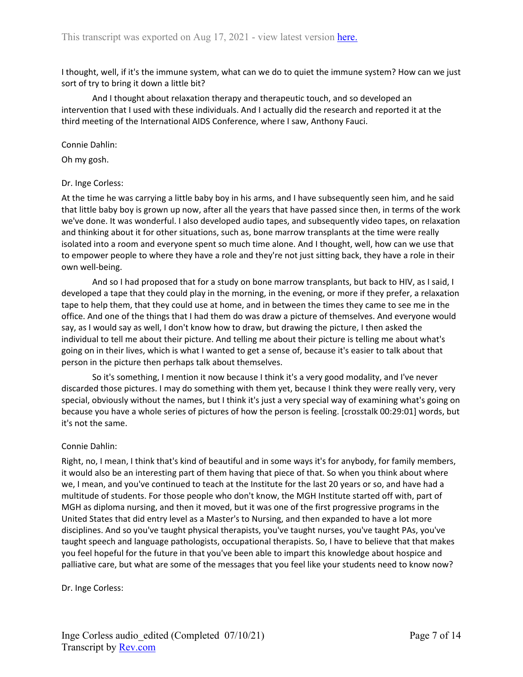I thought, well, if it's the immune system, what can we do to quiet the immune system? How can we just sort of try to bring it down a little bit?

And I thought about relaxation therapy and therapeutic touch, and so developed an intervention that I used with these individuals. And I actually did the research and reported it at the third meeting of the International AIDS Conference, where I saw, Anthony Fauci.

### Connie Dahlin:

Oh my gosh.

### Dr. Inge Corless:

At the time he was carrying a little baby boy in his arms, and I have subsequently seen him, and he said that little baby boy is grown up now, after all the years that have passed since then, in terms of the work we've done. It was wonderful. I also developed audio tapes, and subsequently video tapes, on relaxation and thinking about it for other situations, such as, bone marrow transplants at the time were really isolated into a room and everyone spent so much time alone. And I thought, well, how can we use that to empower people to where they have a role and they're not just sitting back, they have a role in their own well-being.

And so I had proposed that for a study on bone marrow transplants, but back to HIV, as I said, I developed a tape that they could play in the morning, in the evening, or more if they prefer, a relaxation tape to help them, that they could use at home, and in between the times they came to see me in the office. And one of the things that I had them do was draw a picture of themselves. And everyone would say, as I would say as well, I don't know how to draw, but drawing the picture, I then asked the individual to tell me about their picture. And telling me about their picture is telling me about what's going on in their lives, which is what I wanted to get a sense of, because it's easier to talk about that person in the picture then perhaps talk about themselves.

So it's something, I mention it now because I think it's a very good modality, and I've never discarded those pictures. I may do something with them yet, because I think they were really very, very special, obviously without the names, but I think it's just a very special way of examining what's going on because you have a whole series of pictures of how the person is feeling. [crosstalk 00:29:01] words, but it's not the same.

# Connie Dahlin:

Right, no, I mean, I think that's kind of beautiful and in some ways it's for anybody, for family members, it would also be an interesting part of them having that piece of that. So when you think about where we, I mean, and you've continued to teach at the Institute for the last 20 years or so, and have had a multitude of students. For those people who don't know, the MGH Institute started off with, part of MGH as diploma nursing, and then it moved, but it was one of the first progressive programs in the United States that did entry level as a Master's to Nursing, and then expanded to have a lot more disciplines. And so you've taught physical therapists, you've taught nurses, you've taught PAs, you've taught speech and language pathologists, occupational therapists. So, I have to believe that that makes you feel hopeful for the future in that you've been able to impart this knowledge about hospice and palliative care, but what are some of the messages that you feel like your students need to know now?

Dr. Inge Corless: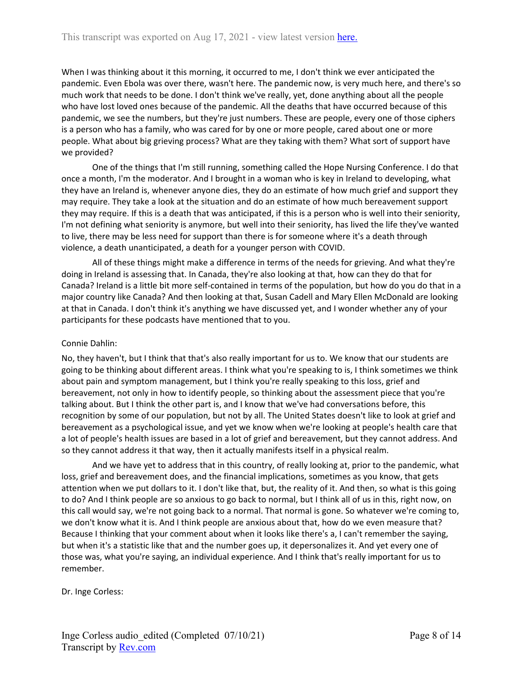When I was thinking about it this morning, it occurred to me, I don't think we ever anticipated the pandemic. Even Ebola was over there, wasn't here. The pandemic now, is very much here, and there's so much work that needs to be done. I don't think we've really, yet, done anything about all the people who have lost loved ones because of the pandemic. All the deaths that have occurred because of this pandemic, we see the numbers, but they're just numbers. These are people, every one of those ciphers is a person who has a family, who was cared for by one or more people, cared about one or more people. What about big grieving process? What are they taking with them? What sort of support have we provided?

One of the things that I'm still running, something called the Hope Nursing Conference. I do that once a month, I'm the moderator. And I brought in a woman who is key in Ireland to developing, what they have an Ireland is, whenever anyone dies, they do an estimate of how much grief and support they may require. They take a look at the situation and do an estimate of how much bereavement support they may require. If this is a death that was anticipated, if this is a person who is well into their seniority, I'm not defining what seniority is anymore, but well into their seniority, has lived the life they've wanted to live, there may be less need for support than there is for someone where it's a death through violence, a death unanticipated, a death for a younger person with COVID.

All of these things might make a difference in terms of the needs for grieving. And what they're doing in Ireland is assessing that. In Canada, they're also looking at that, how can they do that for Canada? Ireland is a little bit more self-contained in terms of the population, but how do you do that in a major country like Canada? And then looking at that, Susan Cadell and Mary Ellen McDonald are looking at that in Canada. I don't think it's anything we have discussed yet, and I wonder whether any of your participants for these podcasts have mentioned that to you.

### Connie Dahlin:

No, they haven't, but I think that that's also really important for us to. We know that our students are going to be thinking about different areas. I think what you're speaking to is, I think sometimes we think about pain and symptom management, but I think you're really speaking to this loss, grief and bereavement, not only in how to identify people, so thinking about the assessment piece that you're talking about. But I think the other part is, and I know that we've had conversations before, this recognition by some of our population, but not by all. The United States doesn't like to look at grief and bereavement as a psychological issue, and yet we know when we're looking at people's health care that a lot of people's health issues are based in a lot of grief and bereavement, but they cannot address. And so they cannot address it that way, then it actually manifests itself in a physical realm.

And we have yet to address that in this country, of really looking at, prior to the pandemic, what loss, grief and bereavement does, and the financial implications, sometimes as you know, that gets attention when we put dollars to it. I don't like that, but, the reality of it. And then, so what is this going to do? And I think people are so anxious to go back to normal, but I think all of us in this, right now, on this call would say, we're not going back to a normal. That normal is gone. So whatever we're coming to, we don't know what it is. And I think people are anxious about that, how do we even measure that? Because I thinking that your comment about when it looks like there's a, I can't remember the saying, but when it's a statistic like that and the number goes up, it depersonalizes it. And yet every one of those was, what you're saying, an individual experience. And I think that's really important for us to remember.

Dr. Inge Corless: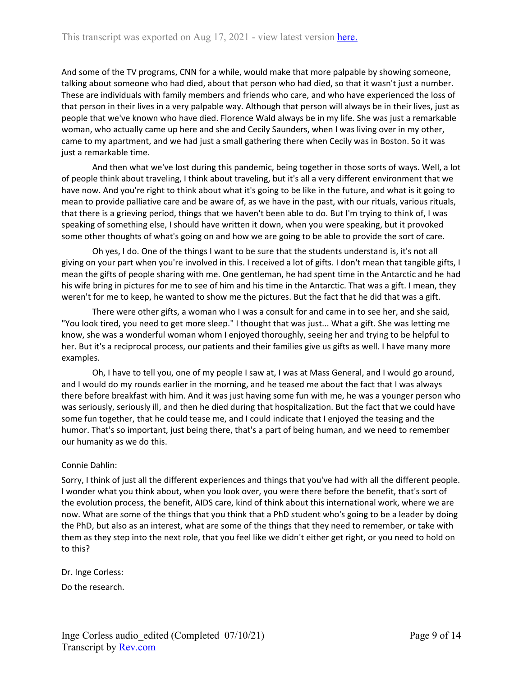And some of the TV programs, CNN for a while, would make that more palpable by showing someone, talking about someone who had died, about that person who had died, so that it wasn't just a number. These are individuals with family members and friends who care, and who have experienced the loss of that person in their lives in a very palpable way. Although that person will always be in their lives, just as people that we've known who have died. Florence Wald always be in my life. She was just a remarkable woman, who actually came up here and she and Cecily Saunders, when I was living over in my other, came to my apartment, and we had just a small gathering there when Cecily was in Boston. So it was just a remarkable time.

And then what we've lost during this pandemic, being together in those sorts of ways. Well, a lot of people think about traveling, I think about traveling, but it's all a very different environment that we have now. And you're right to think about what it's going to be like in the future, and what is it going to mean to provide palliative care and be aware of, as we have in the past, with our rituals, various rituals, that there is a grieving period, things that we haven't been able to do. But I'm trying to think of, I was speaking of something else, I should have written it down, when you were speaking, but it provoked some other thoughts of what's going on and how we are going to be able to provide the sort of care.

Oh yes, I do. One of the things I want to be sure that the students understand is, it's not all giving on your part when you're involved in this. I received a lot of gifts. I don't mean that tangible gifts, I mean the gifts of people sharing with me. One gentleman, he had spent time in the Antarctic and he had his wife bring in pictures for me to see of him and his time in the Antarctic. That was a gift. I mean, they weren't for me to keep, he wanted to show me the pictures. But the fact that he did that was a gift.

There were other gifts, a woman who I was a consult for and came in to see her, and she said, "You look tired, you need to get more sleep." I thought that was just... What a gift. She was letting me know, she was a wonderful woman whom I enjoyed thoroughly, seeing her and trying to be helpful to her. But it's a reciprocal process, our patients and their families give us gifts as well. I have many more examples.

Oh, I have to tell you, one of my people I saw at, I was at Mass General, and I would go around, and I would do my rounds earlier in the morning, and he teased me about the fact that I was always there before breakfast with him. And it was just having some fun with me, he was a younger person who was seriously, seriously ill, and then he died during that hospitalization. But the fact that we could have some fun together, that he could tease me, and I could indicate that I enjoyed the teasing and the humor. That's so important, just being there, that's a part of being human, and we need to remember our humanity as we do this.

# Connie Dahlin:

Sorry, I think of just all the different experiences and things that you've had with all the different people. I wonder what you think about, when you look over, you were there before the benefit, that's sort of the evolution process, the benefit, AIDS care, kind of think about this international work, where we are now. What are some of the things that you think that a PhD student who's going to be a leader by doing the PhD, but also as an interest, what are some of the things that they need to remember, or take with them as they step into the next role, that you feel like we didn't either get right, or you need to hold on to this?

Dr. Inge Corless:

Do the research.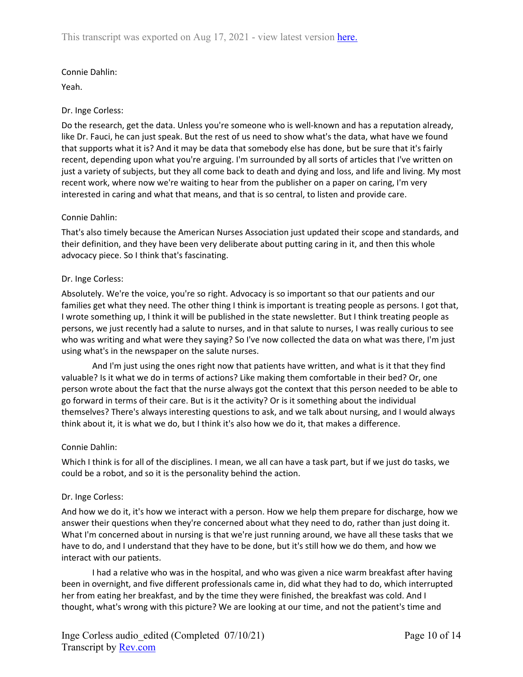## Connie Dahlin:

Yeah.

### Dr. Inge Corless:

Do the research, get the data. Unless you're someone who is well-known and has a reputation already, like Dr. Fauci, he can just speak. But the rest of us need to show what's the data, what have we found that supports what it is? And it may be data that somebody else has done, but be sure that it's fairly recent, depending upon what you're arguing. I'm surrounded by all sorts of articles that I've written on just a variety of subjects, but they all come back to death and dying and loss, and life and living. My most recent work, where now we're waiting to hear from the publisher on a paper on caring, I'm very interested in caring and what that means, and that is so central, to listen and provide care.

## Connie Dahlin:

That's also timely because the American Nurses Association just updated their scope and standards, and their definition, and they have been very deliberate about putting caring in it, and then this whole advocacy piece. So I think that's fascinating.

## Dr. Inge Corless:

Absolutely. We're the voice, you're so right. Advocacy is so important so that our patients and our families get what they need. The other thing I think is important is treating people as persons. I got that, I wrote something up, I think it will be published in the state newsletter. But I think treating people as persons, we just recently had a salute to nurses, and in that salute to nurses, I was really curious to see who was writing and what were they saying? So I've now collected the data on what was there, I'm just using what's in the newspaper on the salute nurses.

And I'm just using the ones right now that patients have written, and what is it that they find valuable? Is it what we do in terms of actions? Like making them comfortable in their bed? Or, one person wrote about the fact that the nurse always got the context that this person needed to be able to go forward in terms of their care. But is it the activity? Or is it something about the individual themselves? There's always interesting questions to ask, and we talk about nursing, and I would always think about it, it is what we do, but I think it's also how we do it, that makes a difference.

### Connie Dahlin:

Which I think is for all of the disciplines. I mean, we all can have a task part, but if we just do tasks, we could be a robot, and so it is the personality behind the action.

### Dr. Inge Corless:

And how we do it, it's how we interact with a person. How we help them prepare for discharge, how we answer their questions when they're concerned about what they need to do, rather than just doing it. What I'm concerned about in nursing is that we're just running around, we have all these tasks that we have to do, and I understand that they have to be done, but it's still how we do them, and how we interact with our patients.

I had a relative who was in the hospital, and who was given a nice warm breakfast after having been in overnight, and five different professionals came in, did what they had to do, which interrupted her from eating her breakfast, and by the time they were finished, the breakfast was cold. And I thought, what's wrong with this picture? We are looking at our time, and not the patient's time and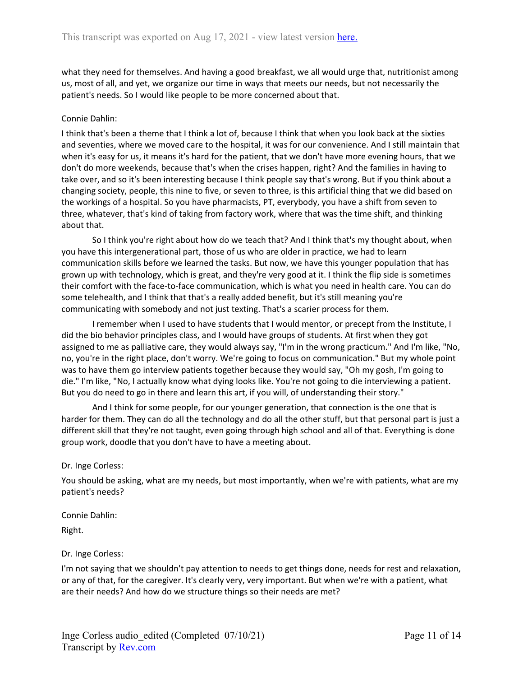what they need for themselves. And having a good breakfast, we all would urge that, nutritionist among us, most of all, and yet, we organize our time in ways that meets our needs, but not necessarily the patient's needs. So I would like people to be more concerned about that.

### Connie Dahlin:

I think that's been a theme that I think a lot of, because I think that when you look back at the sixties and seventies, where we moved care to the hospital, it was for our convenience. And I still maintain that when it's easy for us, it means it's hard for the patient, that we don't have more evening hours, that we don't do more weekends, because that's when the crises happen, right? And the families in having to take over, and so it's been interesting because I think people say that's wrong. But if you think about a changing society, people, this nine to five, or seven to three, is this artificial thing that we did based on the workings of a hospital. So you have pharmacists, PT, everybody, you have a shift from seven to three, whatever, that's kind of taking from factory work, where that was the time shift, and thinking about that.

So I think you're right about how do we teach that? And I think that's my thought about, when you have this intergenerational part, those of us who are older in practice, we had to learn communication skills before we learned the tasks. But now, we have this younger population that has grown up with technology, which is great, and they're very good at it. I think the flip side is sometimes their comfort with the face-to-face communication, which is what you need in health care. You can do some telehealth, and I think that that's a really added benefit, but it's still meaning you're communicating with somebody and not just texting. That's a scarier process for them.

I remember when I used to have students that I would mentor, or precept from the Institute, I did the bio behavior principles class, and I would have groups of students. At first when they got assigned to me as palliative care, they would always say, "I'm in the wrong practicum." And I'm like, "No, no, you're in the right place, don't worry. We're going to focus on communication." But my whole point was to have them go interview patients together because they would say, "Oh my gosh, I'm going to die." I'm like, "No, I actually know what dying looks like. You're not going to die interviewing a patient. But you do need to go in there and learn this art, if you will, of understanding their story."

And I think for some people, for our younger generation, that connection is the one that is harder for them. They can do all the technology and do all the other stuff, but that personal part is just a different skill that they're not taught, even going through high school and all of that. Everything is done group work, doodle that you don't have to have a meeting about.

### Dr. Inge Corless:

You should be asking, what are my needs, but most importantly, when we're with patients, what are my patient's needs?

Connie Dahlin:

Right.

Dr. Inge Corless:

I'm not saying that we shouldn't pay attention to needs to get things done, needs for rest and relaxation, or any of that, for the caregiver. It's clearly very, very important. But when we're with a patient, what are their needs? And how do we structure things so their needs are met?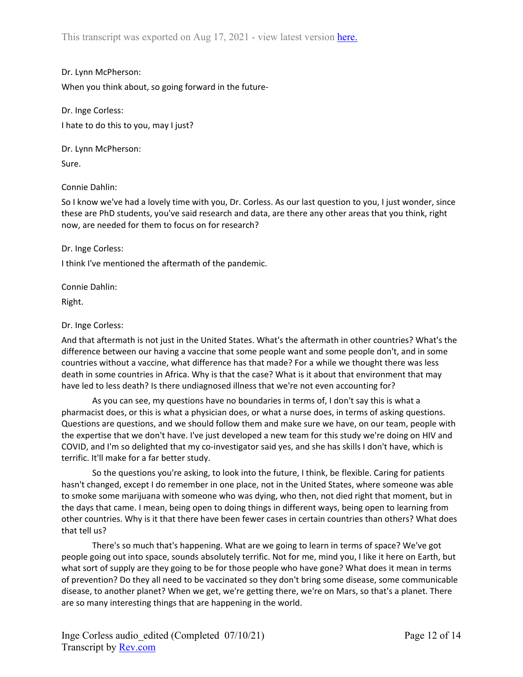Dr. Lynn McPherson: When you think about, so going forward in the future-

Dr. Inge Corless: I hate to do this to you, may I just?

Dr. Lynn McPherson: Sure.

Connie Dahlin:

So I know we've had a lovely time with you, Dr. Corless. As our last question to you, I just wonder, since these are PhD students, you've said research and data, are there any other areas that you think, right now, are needed for them to focus on for research?

Dr. Inge Corless:

I think I've mentioned the aftermath of the pandemic.

Connie Dahlin: Right.

Dr. Inge Corless:

And that aftermath is not just in the United States. What's the aftermath in other countries? What's the difference between our having a vaccine that some people want and some people don't, and in some countries without a vaccine, what difference has that made? For a while we thought there was less death in some countries in Africa. Why is that the case? What is it about that environment that may have led to less death? Is there undiagnosed illness that we're not even accounting for?

As you can see, my questions have no boundaries in terms of, I don't say this is what a pharmacist does, or this is what a physician does, or what a nurse does, in terms of asking questions. Questions are questions, and we should follow them and make sure we have, on our team, people with the expertise that we don't have. I've just developed a new team for this study we're doing on HIV and COVID, and I'm so delighted that my co-investigator said yes, and she has skills I don't have, which is terrific. It'll make for a far better study.

So the questions you're asking, to look into the future, I think, be flexible. Caring for patients hasn't changed, except I do remember in one place, not in the United States, where someone was able to smoke some marijuana with someone who was dying, who then, not died right that moment, but in the days that came. I mean, being open to doing things in different ways, being open to learning from other countries. Why is it that there have been fewer cases in certain countries than others? What does that tell us?

There's so much that's happening. What are we going to learn in terms of space? We've got people going out into space, sounds absolutely terrific. Not for me, mind you, I like it here on Earth, but what sort of supply are they going to be for those people who have gone? What does it mean in terms of prevention? Do they all need to be vaccinated so they don't bring some disease, some communicable disease, to another planet? When we get, we're getting there, we're on Mars, so that's a planet. There are so many interesting things that are happening in the world.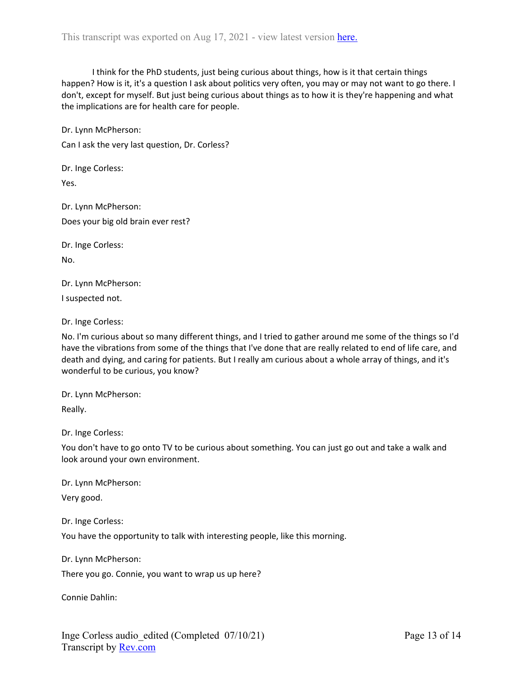I think for the PhD students, just being curious about things, how is it that certain things happen? How is it, it's a question I ask about politics very often, you may or may not want to go there. I don't, except for myself. But just being curious about things as to how it is they're happening and what the implications are for health care for people.

Dr. Lynn McPherson: Can I ask the very last question, Dr. Corless?

Dr. Inge Corless: Yes.

Dr. Lynn McPherson: Does your big old brain ever rest?

Dr. Inge Corless: No.

Dr. Lynn McPherson:

I suspected not.

Dr. Inge Corless:

No. I'm curious about so many different things, and I tried to gather around me some of the things so I'd have the vibrations from some of the things that I've done that are really related to end of life care, and death and dying, and caring for patients. But I really am curious about a whole array of things, and it's wonderful to be curious, you know?

Dr. Lynn McPherson:

Really.

Dr. Inge Corless:

You don't have to go onto TV to be curious about something. You can just go out and take a walk and look around your own environment.

Dr. Lynn McPherson:

Very good.

Dr. Inge Corless:

You have the opportunity to talk with interesting people, like this morning.

Dr. Lynn McPherson:

There you go. Connie, you want to wrap us up here?

Connie Dahlin: